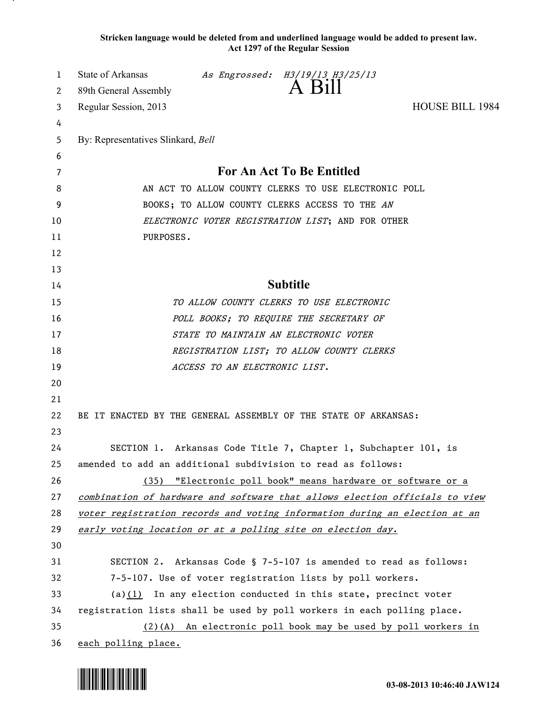**Stricken language would be deleted from and underlined language would be added to present law. Act 1297 of the Regular Session**

| 1      | State of Arkansas                                                           |                               | As Engrossed: H3/19/13 H3/25/13<br>A Bill                         |                 |  |
|--------|-----------------------------------------------------------------------------|-------------------------------|-------------------------------------------------------------------|-----------------|--|
| 2      | 89th General Assembly                                                       |                               |                                                                   |                 |  |
| 3      | Regular Session, 2013                                                       |                               |                                                                   | HOUSE BILL 1984 |  |
| 4<br>5 | By: Representatives Slinkard, Bell                                          |                               |                                                                   |                 |  |
| 6      |                                                                             |                               |                                                                   |                 |  |
| 7      |                                                                             |                               | For An Act To Be Entitled                                         |                 |  |
| 8      | AN ACT TO ALLOW COUNTY CLERKS TO USE ELECTRONIC POLL                        |                               |                                                                   |                 |  |
| 9      | BOOKS; TO ALLOW COUNTY CLERKS ACCESS TO THE AN                              |                               |                                                                   |                 |  |
| 10     | ELECTRONIC VOTER REGISTRATION LIST; AND FOR OTHER                           |                               |                                                                   |                 |  |
| 11     | PURPOSES.                                                                   |                               |                                                                   |                 |  |
| 12     |                                                                             |                               |                                                                   |                 |  |
| 13     |                                                                             |                               |                                                                   |                 |  |
| 14     | <b>Subtitle</b>                                                             |                               |                                                                   |                 |  |
| 15     |                                                                             |                               | TO ALLOW COUNTY CLERKS TO USE ELECTRONIC                          |                 |  |
| 16     |                                                                             |                               | POLL BOOKS; TO REQUIRE THE SECRETARY OF                           |                 |  |
| 17     |                                                                             |                               | STATE TO MAINTAIN AN ELECTRONIC VOTER                             |                 |  |
| 18     |                                                                             |                               | REGISTRATION LIST; TO ALLOW COUNTY CLERKS                         |                 |  |
| 19     |                                                                             | ACCESS TO AN ELECTRONIC LIST. |                                                                   |                 |  |
| 20     |                                                                             |                               |                                                                   |                 |  |
| 21     |                                                                             |                               |                                                                   |                 |  |
| 22     | BE IT ENACTED BY THE GENERAL ASSEMBLY OF THE STATE OF ARKANSAS:             |                               |                                                                   |                 |  |
| 23     |                                                                             |                               |                                                                   |                 |  |
| 24     |                                                                             |                               | SECTION 1. Arkansas Code Title 7, Chapter 1, Subchapter 101, is   |                 |  |
| 25     | amended to add an additional subdivision to read as follows:                |                               |                                                                   |                 |  |
| 26     |                                                                             |                               | (35) "Electronic poll book" means hardware or software or a       |                 |  |
| 27     | combination of hardware and software that allows election officials to view |                               |                                                                   |                 |  |
| 28     | voter registration records and voting information during an election at an  |                               |                                                                   |                 |  |
| 29     | early voting location or at a polling site on election day.                 |                               |                                                                   |                 |  |
| 30     |                                                                             |                               |                                                                   |                 |  |
| 31     |                                                                             |                               | SECTION 2. Arkansas Code § 7-5-107 is amended to read as follows: |                 |  |
| 32     | 7-5-107. Use of voter registration lists by poll workers.                   |                               |                                                                   |                 |  |
| 33     | (a) $(1)$ In any election conducted in this state, precinct voter           |                               |                                                                   |                 |  |
| 34     | registration lists shall be used by poll workers in each polling place.     |                               |                                                                   |                 |  |
| 35     |                                                                             |                               | $(2)(A)$ An electronic poll book may be used by poll workers in   |                 |  |
| 36     | each polling place.                                                         |                               |                                                                   |                 |  |